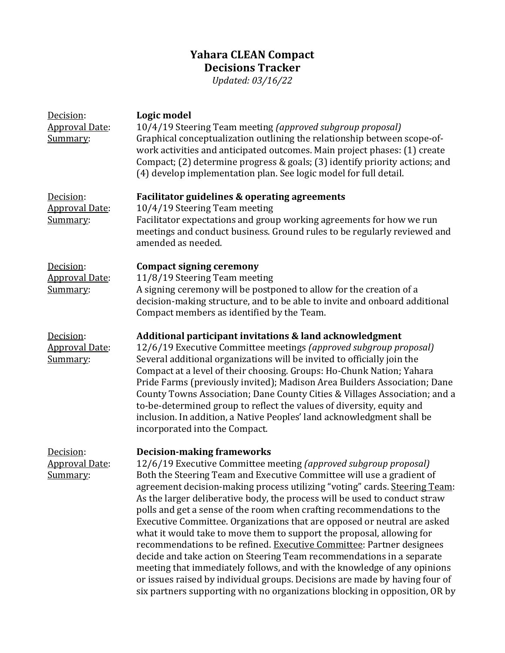## **Yahara CLEAN Compact Decisions Tracker**

*Updated: 03/16/22*

| Decision:<br><b>Approval Date:</b><br>Summary: | Logic model<br>10/4/19 Steering Team meeting (approved subgroup proposal)<br>Graphical conceptualization outlining the relationship between scope-of-<br>work activities and anticipated outcomes. Main project phases: (1) create<br>Compact; (2) determine progress & goals; (3) identify priority actions; and<br>(4) develop implementation plan. See logic model for full detail.                                                                                                                                                                                                                                                                                                                                                                                                                                                                                                                                                                                |
|------------------------------------------------|-----------------------------------------------------------------------------------------------------------------------------------------------------------------------------------------------------------------------------------------------------------------------------------------------------------------------------------------------------------------------------------------------------------------------------------------------------------------------------------------------------------------------------------------------------------------------------------------------------------------------------------------------------------------------------------------------------------------------------------------------------------------------------------------------------------------------------------------------------------------------------------------------------------------------------------------------------------------------|
| Decision:<br><b>Approval Date:</b><br>Summary: | Facilitator guidelines & operating agreements<br>10/4/19 Steering Team meeting<br>Facilitator expectations and group working agreements for how we run<br>meetings and conduct business. Ground rules to be regularly reviewed and<br>amended as needed.                                                                                                                                                                                                                                                                                                                                                                                                                                                                                                                                                                                                                                                                                                              |
| Decision:<br><b>Approval Date:</b><br>Summary: | <b>Compact signing ceremony</b><br>11/8/19 Steering Team meeting<br>A signing ceremony will be postponed to allow for the creation of a<br>decision-making structure, and to be able to invite and onboard additional<br>Compact members as identified by the Team.                                                                                                                                                                                                                                                                                                                                                                                                                                                                                                                                                                                                                                                                                                   |
| Decision:<br><b>Approval Date:</b><br>Summary: | Additional participant invitations & land acknowledgment<br>12/6/19 Executive Committee meetings (approved subgroup proposal)<br>Several additional organizations will be invited to officially join the<br>Compact at a level of their choosing. Groups: Ho-Chunk Nation; Yahara<br>Pride Farms (previously invited); Madison Area Builders Association; Dane<br>County Towns Association; Dane County Cities & Villages Association; and a<br>to-be-determined group to reflect the values of diversity, equity and<br>inclusion. In addition, a Native Peoples' land acknowledgment shall be<br>incorporated into the Compact.                                                                                                                                                                                                                                                                                                                                     |
| Decision:<br><b>Approval Date:</b><br>Summary: | <b>Decision-making frameworks</b><br>12/6/19 Executive Committee meeting (approved subgroup proposal)<br>Both the Steering Team and Executive Committee will use a gradient of<br>agreement decision-making process utilizing "voting" cards. Steering Team:<br>As the larger deliberative body, the process will be used to conduct straw<br>polls and get a sense of the room when crafting recommendations to the<br>Executive Committee. Organizations that are opposed or neutral are asked<br>what it would take to move them to support the proposal, allowing for<br>recommendations to be refined. Executive Committee: Partner designees<br>decide and take action on Steering Team recommendations in a separate<br>meeting that immediately follows, and with the knowledge of any opinions<br>or issues raised by individual groups. Decisions are made by having four of<br>six partners supporting with no organizations blocking in opposition, OR by |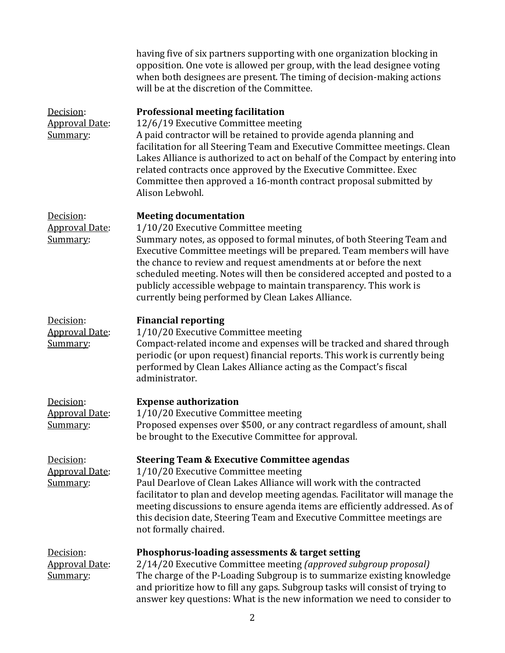|                                                | having five of six partners supporting with one organization blocking in<br>opposition. One vote is allowed per group, with the lead designee voting<br>when both designees are present. The timing of decision-making actions<br>will be at the discretion of the Committee.                                                                                                                                                                                                                        |
|------------------------------------------------|------------------------------------------------------------------------------------------------------------------------------------------------------------------------------------------------------------------------------------------------------------------------------------------------------------------------------------------------------------------------------------------------------------------------------------------------------------------------------------------------------|
| Decision:<br><b>Approval Date:</b><br>Summary: | <b>Professional meeting facilitation</b><br>12/6/19 Executive Committee meeting<br>A paid contractor will be retained to provide agenda planning and<br>facilitation for all Steering Team and Executive Committee meetings. Clean<br>Lakes Alliance is authorized to act on behalf of the Compact by entering into<br>related contracts once approved by the Executive Committee. Exec<br>Committee then approved a 16-month contract proposal submitted by<br>Alison Lebwohl.                      |
| Decision:<br><b>Approval Date:</b><br>Summary: | <b>Meeting documentation</b><br>1/10/20 Executive Committee meeting<br>Summary notes, as opposed to formal minutes, of both Steering Team and<br>Executive Committee meetings will be prepared. Team members will have<br>the chance to review and request amendments at or before the next<br>scheduled meeting. Notes will then be considered accepted and posted to a<br>publicly accessible webpage to maintain transparency. This work is<br>currently being performed by Clean Lakes Alliance. |
| Decision:<br><b>Approval Date:</b><br>Summary: | <b>Financial reporting</b><br>1/10/20 Executive Committee meeting<br>Compact-related income and expenses will be tracked and shared through<br>periodic (or upon request) financial reports. This work is currently being<br>performed by Clean Lakes Alliance acting as the Compact's fiscal<br>administrator.                                                                                                                                                                                      |
| Decision:<br><b>Approval Date:</b><br>Summary: | <b>Expense authorization</b><br>1/10/20 Executive Committee meeting<br>Proposed expenses over \$500, or any contract regardless of amount, shall<br>be brought to the Executive Committee for approval.                                                                                                                                                                                                                                                                                              |
| Decision:<br><b>Approval Date:</b><br>Summary: | <b>Steering Team &amp; Executive Committee agendas</b><br>1/10/20 Executive Committee meeting<br>Paul Dearlove of Clean Lakes Alliance will work with the contracted<br>facilitator to plan and develop meeting agendas. Facilitator will manage the<br>meeting discussions to ensure agenda items are efficiently addressed. As of<br>this decision date, Steering Team and Executive Committee meetings are<br>not formally chaired.                                                               |
| Decision:<br><b>Approval Date:</b><br>Summary: | Phosphorus-loading assessments & target setting<br>2/14/20 Executive Committee meeting (approved subgroup proposal)<br>The charge of the P-Loading Subgroup is to summarize existing knowledge<br>and prioritize how to fill any gaps. Subgroup tasks will consist of trying to<br>answer key questions: What is the new information we need to consider to                                                                                                                                          |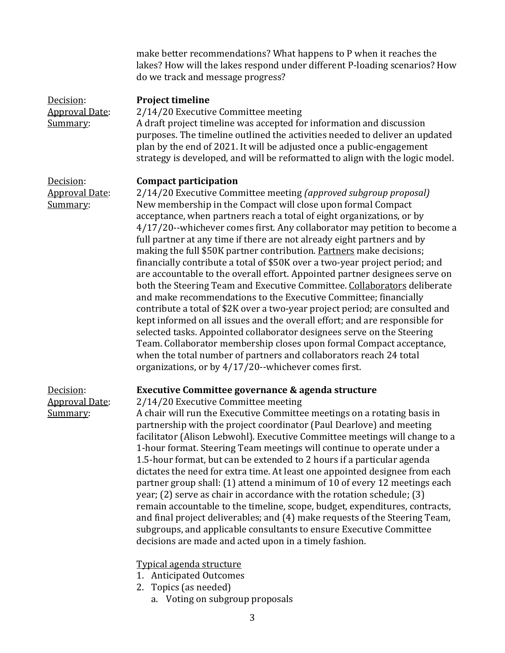make better recommendations? What happens to P when it reaches the lakes? How will the lakes respond under different P-loading scenarios? How do we track and message progress?

| Decision:<br><b>Approval Date:</b><br>Summary: | <b>Project timeline</b><br>2/14/20 Executive Committee meeting<br>A draft project timeline was accepted for information and discussion<br>purposes. The timeline outlined the activities needed to deliver an updated<br>plan by the end of 2021. It will be adjusted once a public-engagement<br>strategy is developed, and will be reformatted to align with the logic model.                                                                                                                                                                                                                                                                                                                                                                                                                                                                                                                                                                                                                                                                                                                                                                                                                                                        |
|------------------------------------------------|----------------------------------------------------------------------------------------------------------------------------------------------------------------------------------------------------------------------------------------------------------------------------------------------------------------------------------------------------------------------------------------------------------------------------------------------------------------------------------------------------------------------------------------------------------------------------------------------------------------------------------------------------------------------------------------------------------------------------------------------------------------------------------------------------------------------------------------------------------------------------------------------------------------------------------------------------------------------------------------------------------------------------------------------------------------------------------------------------------------------------------------------------------------------------------------------------------------------------------------|
| Decision:<br><b>Approval Date:</b><br>Summary: | <b>Compact participation</b><br>2/14/20 Executive Committee meeting (approved subgroup proposal)<br>New membership in the Compact will close upon formal Compact<br>acceptance, when partners reach a total of eight organizations, or by<br>4/17/20--whichever comes first. Any collaborator may petition to become a<br>full partner at any time if there are not already eight partners and by<br>making the full \$50K partner contribution. Partners make decisions;<br>financially contribute a total of \$50K over a two-year project period; and<br>are accountable to the overall effort. Appointed partner designees serve on<br>both the Steering Team and Executive Committee. Collaborators deliberate<br>and make recommendations to the Executive Committee; financially<br>contribute a total of \$2K over a two-year project period; are consulted and<br>kept informed on all issues and the overall effort; and are responsible for<br>selected tasks. Appointed collaborator designees serve on the Steering<br>Team. Collaborator membership closes upon formal Compact acceptance,<br>when the total number of partners and collaborators reach 24 total<br>organizations, or by 4/17/20--whichever comes first. |
| Decision:<br><b>Approval Date:</b><br>Summary: | Executive Committee governance & agenda structure<br>2/14/20 Executive Committee meeting<br>A chair will run the Executive Committee meetings on a rotating basis in<br>partnership with the project coordinator (Paul Dearlove) and meeting<br>facilitator (Alison Lebwohl). Executive Committee meetings will change to a<br>1-hour format. Steering Team meetings will continue to operate under a<br>1.5-hour format, but can be extended to 2 hours if a particular agenda<br>dictates the need for extra time. At least one appointed designee from each<br>partner group shall: (1) attend a minimum of 10 of every 12 meetings each<br>year; (2) serve as chair in accordance with the rotation schedule; (3)<br>remain accountable to the timeline, scope, budget, expenditures, contracts,<br>and final project deliverables; and (4) make requests of the Steering Team,<br>subgroups, and applicable consultants to ensure Executive Committee<br>decisions are made and acted upon in a timely fashion.<br>Typical agenda structure<br><b>Anticipated Outcomes</b><br>Topics (as needed)<br>2.                                                                                                                            |

a. Voting on subgroup proposals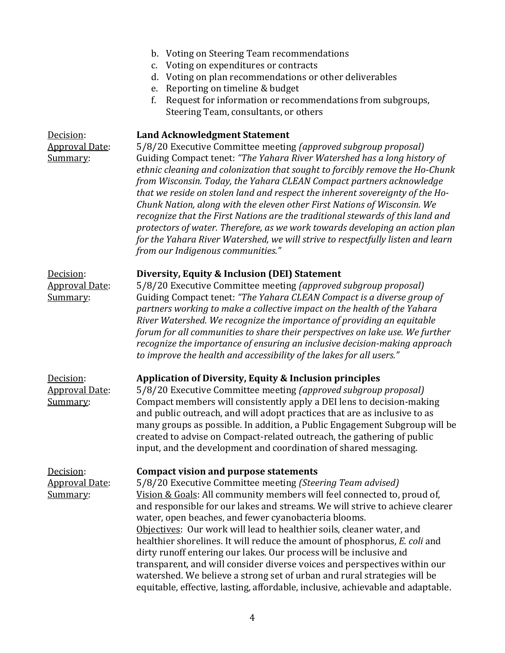|                                                | b. Voting on Steering Team recommendations<br>c. Voting on expenditures or contracts<br>d. Voting on plan recommendations or other deliverables<br>e. Reporting on timeline & budget<br>f.<br>Request for information or recommendations from subgroups,<br>Steering Team, consultants, or others                                                                                                                                                                                                                                                                                                                                                                                                                                                                                                      |
|------------------------------------------------|--------------------------------------------------------------------------------------------------------------------------------------------------------------------------------------------------------------------------------------------------------------------------------------------------------------------------------------------------------------------------------------------------------------------------------------------------------------------------------------------------------------------------------------------------------------------------------------------------------------------------------------------------------------------------------------------------------------------------------------------------------------------------------------------------------|
| Decision:<br><b>Approval Date:</b><br>Summary: | <b>Land Acknowledgment Statement</b><br>5/8/20 Executive Committee meeting (approved subgroup proposal)<br>Guiding Compact tenet: "The Yahara River Watershed has a long history of<br>ethnic cleaning and colonization that sought to forcibly remove the Ho-Chunk<br>from Wisconsin. Today, the Yahara CLEAN Compact partners acknowledge<br>that we reside on stolen land and respect the inherent sovereignty of the Ho-<br>Chunk Nation, along with the eleven other First Nations of Wisconsin. We<br>recognize that the First Nations are the traditional stewards of this land and<br>protectors of water. Therefore, as we work towards developing an action plan<br>for the Yahara River Watershed, we will strive to respectfully listen and learn<br>from our Indigenous communities."     |
| Decision:<br><b>Approval Date:</b><br>Summary: | Diversity, Equity & Inclusion (DEI) Statement<br>5/8/20 Executive Committee meeting (approved subgroup proposal)<br>Guiding Compact tenet: "The Yahara CLEAN Compact is a diverse group of<br>partners working to make a collective impact on the health of the Yahara<br>River Watershed. We recognize the importance of providing an equitable<br>forum for all communities to share their perspectives on lake use. We further<br>recognize the importance of ensuring an inclusive decision-making approach<br>to improve the health and accessibility of the lakes for all users."                                                                                                                                                                                                                |
| Decision:<br><b>Approval Date:</b><br>Summary: | <b>Application of Diversity, Equity &amp; Inclusion principles</b><br>5/8/20 Executive Committee meeting (approved subgroup proposal)<br>Compact members will consistently apply a DEI lens to decision-making<br>and public outreach, and will adopt practices that are as inclusive to as<br>many groups as possible. In addition, a Public Engagement Subgroup will be<br>created to advise on Compact-related outreach, the gathering of public<br>input, and the development and coordination of shared messaging.                                                                                                                                                                                                                                                                                |
| Decision:<br><b>Approval Date:</b><br>Summary: | <b>Compact vision and purpose statements</b><br>5/8/20 Executive Committee meeting (Steering Team advised)<br>Vision & Goals: All community members will feel connected to, proud of,<br>and responsible for our lakes and streams. We will strive to achieve clearer<br>water, open beaches, and fewer cyanobacteria blooms.<br>Objectives: Our work will lead to healthier soils, cleaner water, and<br>healthier shorelines. It will reduce the amount of phosphorus, E. coli and<br>dirty runoff entering our lakes. Our process will be inclusive and<br>transparent, and will consider diverse voices and perspectives within our<br>watershed. We believe a strong set of urban and rural strategies will be<br>equitable, effective, lasting, affordable, inclusive, achievable and adaptable. |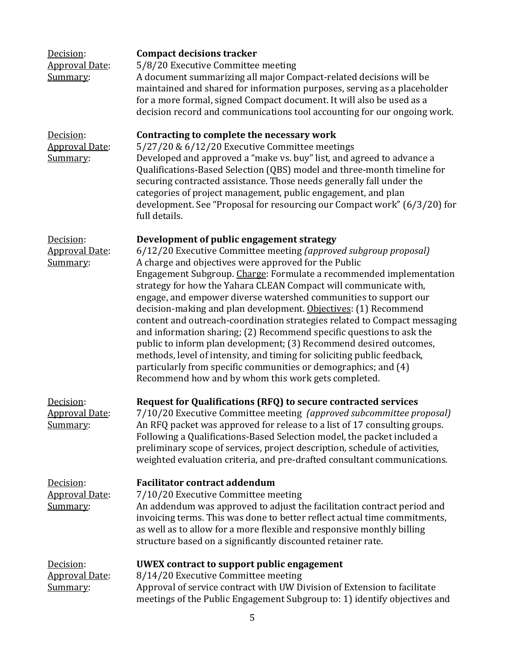| Decision:<br><b>Approval Date:</b><br>Summary:  | <b>Compact decisions tracker</b><br>5/8/20 Executive Committee meeting<br>A document summarizing all major Compact-related decisions will be<br>maintained and shared for information purposes, serving as a placeholder<br>for a more formal, signed Compact document. It will also be used as a<br>decision record and communications tool accounting for our ongoing work.                                                                                                                                                                                                                                                                                                                                                                                                                                                                                                           |
|-------------------------------------------------|-----------------------------------------------------------------------------------------------------------------------------------------------------------------------------------------------------------------------------------------------------------------------------------------------------------------------------------------------------------------------------------------------------------------------------------------------------------------------------------------------------------------------------------------------------------------------------------------------------------------------------------------------------------------------------------------------------------------------------------------------------------------------------------------------------------------------------------------------------------------------------------------|
| Decision:<br><b>Approval Date:</b><br>Summary:  | Contracting to complete the necessary work<br>5/27/20 & 6/12/20 Executive Committee meetings<br>Developed and approved a "make vs. buy" list, and agreed to advance a<br>Qualifications-Based Selection (QBS) model and three-month timeline for<br>securing contracted assistance. Those needs generally fall under the<br>categories of project management, public engagement, and plan<br>development. See "Proposal for resourcing our Compact work" (6/3/20) for<br>full details.                                                                                                                                                                                                                                                                                                                                                                                                  |
| Decision:<br><b>Approval Date:</b><br>Summary:  | Development of public engagement strategy<br>6/12/20 Executive Committee meeting (approved subgroup proposal)<br>A charge and objectives were approved for the Public<br>Engagement Subgroup. Charge: Formulate a recommended implementation<br>strategy for how the Yahara CLEAN Compact will communicate with,<br>engage, and empower diverse watershed communities to support our<br>decision-making and plan development. Objectives: (1) Recommend<br>content and outreach-coordination strategies related to Compact messaging<br>and information sharing; (2) Recommend specific questions to ask the<br>public to inform plan development; (3) Recommend desired outcomes,<br>methods, level of intensity, and timing for soliciting public feedback,<br>particularly from specific communities or demographics; and (4)<br>Recommend how and by whom this work gets completed. |
| Decision:<br><u> Approval Date:</u><br>Summary: | Request for Qualifications (RFQ) to secure contracted services<br>7/10/20 Executive Committee meeting (approved subcommittee proposal)<br>An RFQ packet was approved for release to a list of 17 consulting groups.<br>Following a Qualifications-Based Selection model, the packet included a<br>preliminary scope of services, project description, schedule of activities,<br>weighted evaluation criteria, and pre-drafted consultant communications.                                                                                                                                                                                                                                                                                                                                                                                                                               |
| Decision:<br><b>Approval Date:</b><br>Summary:  | <b>Facilitator contract addendum</b><br>7/10/20 Executive Committee meeting<br>An addendum was approved to adjust the facilitation contract period and<br>invoicing terms. This was done to better reflect actual time commitments,<br>as well as to allow for a more flexible and responsive monthly billing<br>structure based on a significantly discounted retainer rate.                                                                                                                                                                                                                                                                                                                                                                                                                                                                                                           |
| Decision:<br><b>Approval Date:</b><br>Summary:  | UWEX contract to support public engagement<br>8/14/20 Executive Committee meeting<br>Approval of service contract with UW Division of Extension to facilitate<br>meetings of the Public Engagement Subgroup to: 1) identify objectives and                                                                                                                                                                                                                                                                                                                                                                                                                                                                                                                                                                                                                                              |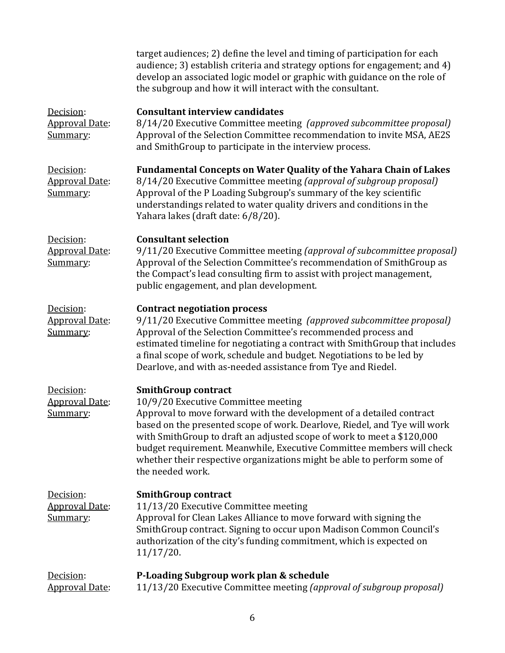|                                                | target audiences; 2) define the level and timing of participation for each<br>audience; 3) establish criteria and strategy options for engagement; and 4)<br>develop an associated logic model or graphic with guidance on the role of<br>the subgroup and how it will interact with the consultant.                                                                                                                                                                     |
|------------------------------------------------|--------------------------------------------------------------------------------------------------------------------------------------------------------------------------------------------------------------------------------------------------------------------------------------------------------------------------------------------------------------------------------------------------------------------------------------------------------------------------|
| Decision:<br><b>Approval Date:</b><br>Summary: | <b>Consultant interview candidates</b><br>8/14/20 Executive Committee meeting (approved subcommittee proposal)<br>Approval of the Selection Committee recommendation to invite MSA, AE2S<br>and SmithGroup to participate in the interview process.                                                                                                                                                                                                                      |
| Decision:<br><b>Approval Date:</b><br>Summary: | <b>Fundamental Concepts on Water Quality of the Yahara Chain of Lakes</b><br>8/14/20 Executive Committee meeting (approval of subgroup proposal)<br>Approval of the P Loading Subgroup's summary of the key scientific<br>understandings related to water quality drivers and conditions in the<br>Yahara lakes (draft date: 6/8/20).                                                                                                                                    |
| Decision:<br><b>Approval Date:</b><br>Summary: | <b>Consultant selection</b><br>9/11/20 Executive Committee meeting (approval of subcommittee proposal)<br>Approval of the Selection Committee's recommendation of SmithGroup as<br>the Compact's lead consulting firm to assist with project management,<br>public engagement, and plan development.                                                                                                                                                                     |
| Decision:<br><b>Approval Date:</b><br>Summary: | <b>Contract negotiation process</b><br>9/11/20 Executive Committee meeting (approved subcommittee proposal)<br>Approval of the Selection Committee's recommended process and<br>estimated timeline for negotiating a contract with SmithGroup that includes<br>a final scope of work, schedule and budget. Negotiations to be led by<br>Dearlove, and with as-needed assistance from Tye and Riedel.                                                                     |
| Decision:<br><b>Approval Date:</b><br>Summary: | <b>SmithGroup contract</b><br>10/9/20 Executive Committee meeting<br>Approval to move forward with the development of a detailed contract<br>based on the presented scope of work. Dearlove, Riedel, and Tye will work<br>with SmithGroup to draft an adjusted scope of work to meet a \$120,000<br>budget requirement. Meanwhile, Executive Committee members will check<br>whether their respective organizations might be able to perform some of<br>the needed work. |
| Decision:<br><b>Approval Date:</b><br>Summary: | <b>SmithGroup contract</b><br>11/13/20 Executive Committee meeting<br>Approval for Clean Lakes Alliance to move forward with signing the<br>SmithGroup contract. Signing to occur upon Madison Common Council's<br>authorization of the city's funding commitment, which is expected on<br>11/17/20.                                                                                                                                                                     |
| Decision:<br><b>Approval Date:</b>             | P-Loading Subgroup work plan & schedule<br>11/13/20 Executive Committee meeting (approval of subgroup proposal)                                                                                                                                                                                                                                                                                                                                                          |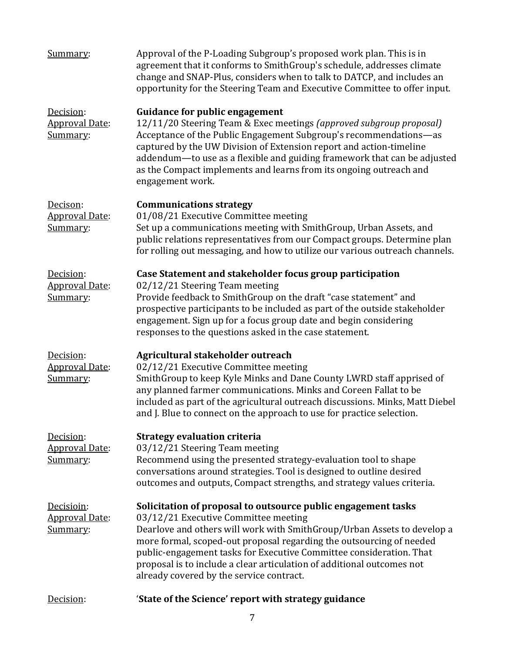| Summary:                                        | Approval of the P-Loading Subgroup's proposed work plan. This is in<br>agreement that it conforms to SmithGroup's schedule, addresses climate<br>change and SNAP-Plus, considers when to talk to DATCP, and includes an<br>opportunity for the Steering Team and Executive Committee to offer input.                                                                                                                                                  |
|-------------------------------------------------|-------------------------------------------------------------------------------------------------------------------------------------------------------------------------------------------------------------------------------------------------------------------------------------------------------------------------------------------------------------------------------------------------------------------------------------------------------|
| Decision:<br><b>Approval Date:</b><br>Summary:  | <b>Guidance for public engagement</b><br>12/11/20 Steering Team & Exec meetings (approved subgroup proposal)<br>Acceptance of the Public Engagement Subgroup's recommendations-as<br>captured by the UW Division of Extension report and action-timeline<br>addendum-to use as a flexible and guiding framework that can be adjusted<br>as the Compact implements and learns from its ongoing outreach and<br>engagement work.                        |
| Decison:<br><b>Approval Date:</b><br>Summary:   | <b>Communications strategy</b><br>01/08/21 Executive Committee meeting<br>Set up a communications meeting with SmithGroup, Urban Assets, and<br>public relations representatives from our Compact groups. Determine plan<br>for rolling out messaging, and how to utilize our various outreach channels.                                                                                                                                              |
| Decision:<br><b>Approval Date:</b><br>Summary:  | Case Statement and stakeholder focus group participation<br>02/12/21 Steering Team meeting<br>Provide feedback to SmithGroup on the draft "case statement" and<br>prospective participants to be included as part of the outside stakeholder<br>engagement. Sign up for a focus group date and begin considering<br>responses to the questions asked in the case statement.                                                                           |
| Decision:<br><b>Approval Date:</b><br>Summary:  | Agricultural stakeholder outreach<br>02/12/21 Executive Committee meeting<br>SmithGroup to keep Kyle Minks and Dane County LWRD staff apprised of<br>any planned farmer communications. Minks and Coreen Fallat to be<br>included as part of the agricultural outreach discussions. Minks, Matt Diebel<br>and J. Blue to connect on the approach to use for practice selection.                                                                       |
| Decision:<br><b>Approval Date:</b><br>Summary:  | <b>Strategy evaluation criteria</b><br>03/12/21 Steering Team meeting<br>Recommend using the presented strategy-evaluation tool to shape<br>conversations around strategies. Tool is designed to outline desired<br>outcomes and outputs, Compact strengths, and strategy values criteria.                                                                                                                                                            |
| Decisioin:<br><b>Approval Date:</b><br>Summary: | Solicitation of proposal to outsource public engagement tasks<br>03/12/21 Executive Committee meeting<br>Dearlove and others will work with SmithGroup/Urban Assets to develop a<br>more formal, scoped-out proposal regarding the outsourcing of needed<br>public-engagement tasks for Executive Committee consideration. That<br>proposal is to include a clear articulation of additional outcomes not<br>already covered by the service contract. |
| Decision:                                       | 'State of the Science' report with strategy guidance                                                                                                                                                                                                                                                                                                                                                                                                  |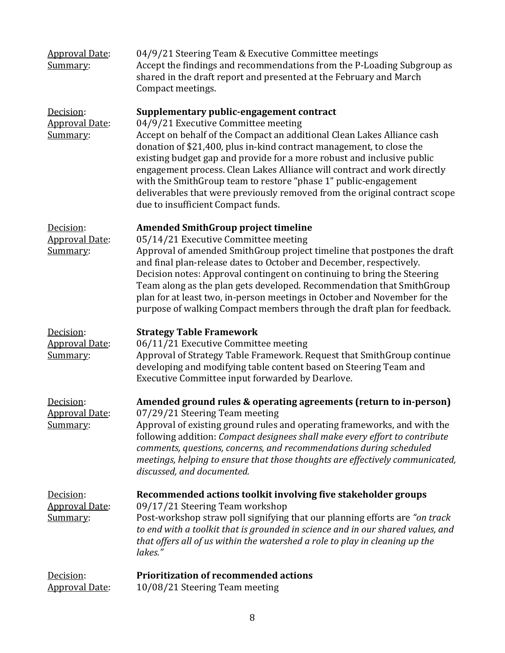| <b>Approval Date:</b><br>Summary:              | 04/9/21 Steering Team & Executive Committee meetings<br>Accept the findings and recommendations from the P-Loading Subgroup as<br>shared in the draft report and presented at the February and March<br>Compact meetings.                                                                                                                                                                                                                                                                                                                                                       |
|------------------------------------------------|---------------------------------------------------------------------------------------------------------------------------------------------------------------------------------------------------------------------------------------------------------------------------------------------------------------------------------------------------------------------------------------------------------------------------------------------------------------------------------------------------------------------------------------------------------------------------------|
| Decision:<br><b>Approval Date:</b><br>Summary: | Supplementary public-engagement contract<br>04/9/21 Executive Committee meeting<br>Accept on behalf of the Compact an additional Clean Lakes Alliance cash<br>donation of \$21,400, plus in-kind contract management, to close the<br>existing budget gap and provide for a more robust and inclusive public<br>engagement process. Clean Lakes Alliance will contract and work directly<br>with the SmithGroup team to restore "phase 1" public-engagement<br>deliverables that were previously removed from the original contract scope<br>due to insufficient Compact funds. |
| Decision:<br><b>Approval Date:</b><br>Summary: | <b>Amended SmithGroup project timeline</b><br>05/14/21 Executive Committee meeting<br>Approval of amended SmithGroup project timeline that postpones the draft<br>and final plan-release dates to October and December, respectively.<br>Decision notes: Approval contingent on continuing to bring the Steering<br>Team along as the plan gets developed. Recommendation that SmithGroup<br>plan for at least two, in-person meetings in October and November for the<br>purpose of walking Compact members through the draft plan for feedback.                               |
| Decision:<br><b>Approval Date:</b><br>Summary: | <b>Strategy Table Framework</b><br>06/11/21 Executive Committee meeting<br>Approval of Strategy Table Framework. Request that SmithGroup continue<br>developing and modifying table content based on Steering Team and<br>Executive Committee input forwarded by Dearlove.                                                                                                                                                                                                                                                                                                      |
| Decision:<br><b>Approval Date:</b><br>Summary: | Amended ground rules & operating agreements (return to in-person)<br>07/29/21 Steering Team meeting<br>Approval of existing ground rules and operating frameworks, and with the<br>following addition: Compact designees shall make every effort to contribute<br>comments, questions, concerns, and recommendations during scheduled<br>meetings, helping to ensure that those thoughts are effectively communicated,<br>discussed, and documented.                                                                                                                            |
| Decision:<br><b>Approval Date:</b><br>Summary: | Recommended actions toolkit involving five stakeholder groups<br>09/17/21 Steering Team workshop<br>Post-workshop straw poll signifying that our planning efforts are "on track<br>to end with a toolkit that is grounded in science and in our shared values, and<br>that offers all of us within the watershed a role to play in cleaning up the<br>lakes."                                                                                                                                                                                                                   |
| Decision:<br><b>Approval Date:</b>             | <b>Prioritization of recommended actions</b><br>10/08/21 Steering Team meeting                                                                                                                                                                                                                                                                                                                                                                                                                                                                                                  |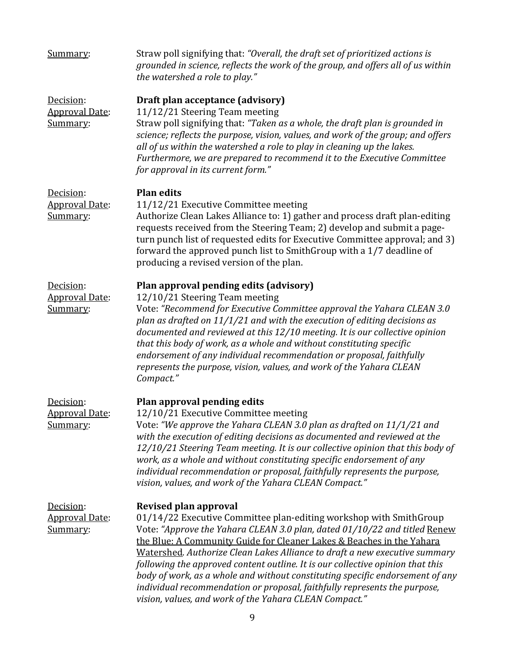| Summary:                                       | Straw poll signifying that: "Overall, the draft set of prioritized actions is<br>grounded in science, reflects the work of the group, and offers all of us within<br>the watershed a role to play."                                                                                                                                                                                                                                                                                                                                                                                                                                              |
|------------------------------------------------|--------------------------------------------------------------------------------------------------------------------------------------------------------------------------------------------------------------------------------------------------------------------------------------------------------------------------------------------------------------------------------------------------------------------------------------------------------------------------------------------------------------------------------------------------------------------------------------------------------------------------------------------------|
| Decision:<br><b>Approval Date:</b><br>Summary: | Draft plan acceptance (advisory)<br>11/12/21 Steering Team meeting<br>Straw poll signifying that: "Taken as a whole, the draft plan is grounded in<br>science; reflects the purpose, vision, values, and work of the group; and offers<br>all of us within the watershed a role to play in cleaning up the lakes.<br>Furthermore, we are prepared to recommend it to the Executive Committee<br>for approval in its current form."                                                                                                                                                                                                               |
| Decision:<br><b>Approval Date:</b><br>Summary: | <b>Plan edits</b><br>11/12/21 Executive Committee meeting<br>Authorize Clean Lakes Alliance to: 1) gather and process draft plan-editing<br>requests received from the Steering Team; 2) develop and submit a page-<br>turn punch list of requested edits for Executive Committee approval; and 3)<br>forward the approved punch list to SmithGroup with a 1/7 deadline of<br>producing a revised version of the plan.                                                                                                                                                                                                                           |
| Decision:<br><b>Approval Date:</b><br>Summary: | Plan approval pending edits (advisory)<br>12/10/21 Steering Team meeting<br>Vote: "Recommend for Executive Committee approval the Yahara CLEAN 3.0<br>plan as drafted on 11/1/21 and with the execution of editing decisions as<br>documented and reviewed at this 12/10 meeting. It is our collective opinion<br>that this body of work, as a whole and without constituting specific<br>endorsement of any individual recommendation or proposal, faithfully<br>represents the purpose, vision, values, and work of the Yahara CLEAN<br>Compact."                                                                                              |
| Decision:<br><b>Approval Date:</b><br>Summary: | Plan approval pending edits<br>12/10/21 Executive Committee meeting<br>Vote: "We approve the Yahara CLEAN 3.0 plan as drafted on 11/1/21 and<br>with the execution of editing decisions as documented and reviewed at the<br>12/10/21 Steering Team meeting. It is our collective opinion that this body of<br>work, as a whole and without constituting specific endorsement of any<br>individual recommendation or proposal, faithfully represents the purpose,<br>vision, values, and work of the Yahara CLEAN Compact."                                                                                                                      |
| Decision:<br><b>Approval Date:</b><br>Summary: | <b>Revised plan approval</b><br>01/14/22 Executive Committee plan-editing workshop with SmithGroup<br>Vote: "Approve the Yahara CLEAN 3.0 plan, dated 01/10/22 and titled Renew<br>the Blue: A Community Guide for Cleaner Lakes & Beaches in the Yahara<br>Watershed. Authorize Clean Lakes Alliance to draft a new executive summary<br>following the approved content outline. It is our collective opinion that this<br>body of work, as a whole and without constituting specific endorsement of any<br>individual recommendation or proposal, faithfully represents the purpose,<br>vision, values, and work of the Yahara CLEAN Compact." |